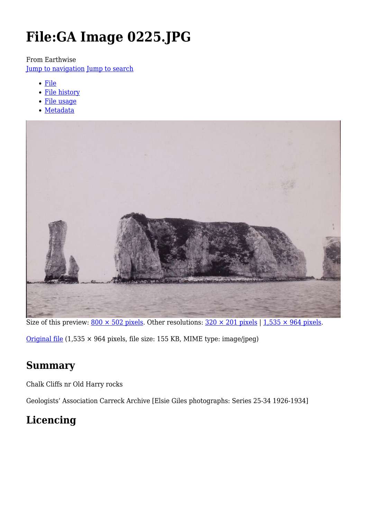# **File:GA Image 0225.JPG**

From Earthwise

[Jump to navigation](#page--1-0) [Jump to search](#page--1-0)

- [File](#page--1-0)
- [File history](#page--1-0)
- [File usage](#page--1-0)
- [Metadata](#page--1-0)



Size of this preview:  $800 \times 502$  pixels. Other resolutions:  $320 \times 201$  pixels | 1,535  $\times$  964 pixels. [Original file](http://earthwise.bgs.ac.uk/images/5/52/GA_Image_0225.JPG)  $(1,535 \times 964$  pixels, file size: 155 KB, MIME type: image/jpeg)

# **Summary**

Chalk Cliffs nr Old Harry rocks

Geologists' Association Carreck Archive [Elsie Giles photographs: Series 25-34 1926-1934]

# **Licencing**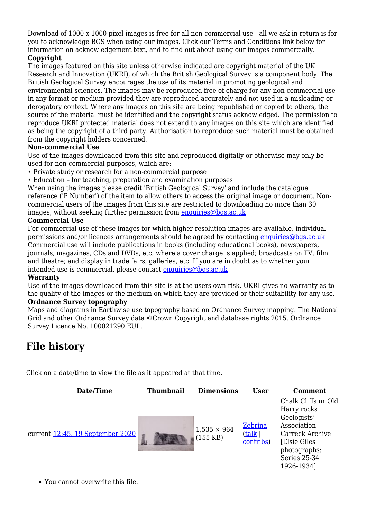Download of 1000 x 1000 pixel images is free for all non-commercial use - all we ask in return is for you to acknowledge BGS when using our images. Click our Terms and Conditions link below for information on acknowledgement text, and to find out about using our images commercially.

#### **Copyright**

The images featured on this site unless otherwise indicated are copyright material of the UK Research and Innovation (UKRI), of which the British Geological Survey is a component body. The British Geological Survey encourages the use of its material in promoting geological and environmental sciences. The images may be reproduced free of charge for any non-commercial use in any format or medium provided they are reproduced accurately and not used in a misleading or derogatory context. Where any images on this site are being republished or copied to others, the source of the material must be identified and the copyright status acknowledged. The permission to reproduce UKRI protected material does not extend to any images on this site which are identified as being the copyright of a third party. Authorisation to reproduce such material must be obtained from the copyright holders concerned.

#### **Non-commercial Use**

Use of the images downloaded from this site and reproduced digitally or otherwise may only be used for non-commercial purposes, which are:-

- Private study or research for a non-commercial purpose
- Education for teaching, preparation and examination purposes

When using the images please credit 'British Geological Survey' and include the catalogue reference ('P Number') of the item to allow others to access the original image or document. Noncommercial users of the images from this site are restricted to downloading no more than 30 images, without seeking further permission from [enquiries@bgs.ac.uk](mailto:enquiries@bgs.ac.uk)

#### **Commercial Use**

For commercial use of these images for which higher resolution images are available, individual permissions and/or licences arrangements should be agreed by contacting [enquiries@bgs.ac.uk](mailto:enquiries@bgs.ac.uk) Commercial use will include publications in books (including educational books), newspapers, journals, magazines, CDs and DVDs, etc, where a cover charge is applied; broadcasts on TV, film and theatre; and display in trade fairs, galleries, etc. If you are in doubt as to whether your intended use is commercial, please contact [enquiries@bgs.ac.uk](mailto:enquiries@bgs.ac.uk)

#### **Warranty**

Use of the images downloaded from this site is at the users own risk. UKRI gives no warranty as to the quality of the images or the medium on which they are provided or their suitability for any use. **Ordnance Survey topography**

Maps and diagrams in Earthwise use topography based on Ordnance Survey mapping. The National Grid and other Ordnance Survey data ©Crown Copyright and database rights 2015. Ordnance Survey Licence No. 100021290 EUL.

### **File history**

Click on a date/time to view the file as it appeared at that time.

| Date/Time                        | <b>Thumbnail</b> | <b>Dimensions</b>                        | <b>User</b>                    | <b>Comment</b>                                                                                                                                     |
|----------------------------------|------------------|------------------------------------------|--------------------------------|----------------------------------------------------------------------------------------------------------------------------------------------------|
| current 12:45, 19 September 2020 |                  | $1,535 \times 964$<br>$(155 \text{ KB})$ | Zebrina<br>(talk)<br>contribs) | Chalk Cliffs nr Old<br>Harry rocks<br>Geologists'<br>Association<br>Carreck Archive<br>[Elsie Giles]<br>photographs:<br>Series 25-34<br>1926-1934] |
|                                  |                  |                                          |                                |                                                                                                                                                    |

You cannot overwrite this file.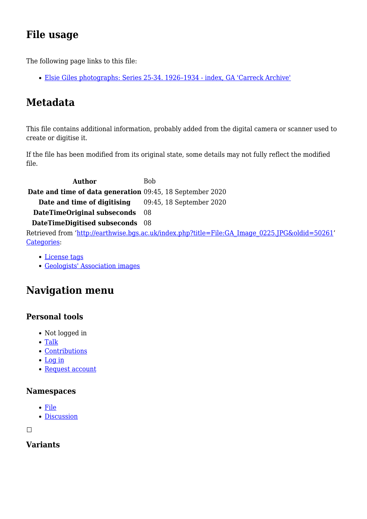# **File usage**

The following page links to this file:

[Elsie Giles photographs: Series 25-34. 1926–1934 - index, GA 'Carreck Archive'](http://earthwise.bgs.ac.uk/index.php/Elsie_Giles_photographs:_Series_25-34._1926%E2%80%931934_-_index,_GA_%27Carreck_Archive%27)

# **Metadata**

This file contains additional information, probably added from the digital camera or scanner used to create or digitise it.

If the file has been modified from its original state, some details may not fully reflect the modified file.

**Author** Bob **Date and time of data generation** 09:45, 18 September 2020 **Date and time of digitising** 09:45, 18 September 2020 **DateTimeOriginal subseconds** 08 **DateTimeDigitised subseconds** 08 Retrieved from ['http://earthwise.bgs.ac.uk/index.php?title=File:GA\\_Image\\_0225.JPG&oldid=50261](http://earthwise.bgs.ac.uk/index.php?title=File:GA_Image_0225.JPG&oldid=50261)' [Categories:](http://earthwise.bgs.ac.uk/index.php/Special:Categories)

- [License tags](http://earthwise.bgs.ac.uk/index.php/Category:License_tags)
- [Geologists' Association images](http://earthwise.bgs.ac.uk/index.php/Category:Geologists%27_Association_images)

# **Navigation menu**

### **Personal tools**

- Not logged in
- [Talk](http://earthwise.bgs.ac.uk/index.php/Special:MyTalk)
- [Contributions](http://earthwise.bgs.ac.uk/index.php/Special:MyContributions)
- [Log in](http://earthwise.bgs.ac.uk/index.php?title=Special:UserLogin&returnto=File%3AGA+Image+0225.JPG&returntoquery=action%3Dmpdf)
- [Request account](http://earthwise.bgs.ac.uk/index.php/Special:RequestAccount)

#### **Namespaces**

- [File](http://earthwise.bgs.ac.uk/index.php/File:GA_Image_0225.JPG)
- [Discussion](http://earthwise.bgs.ac.uk/index.php?title=File_talk:GA_Image_0225.JPG&action=edit&redlink=1)

 $\Box$ 

### **Variants**